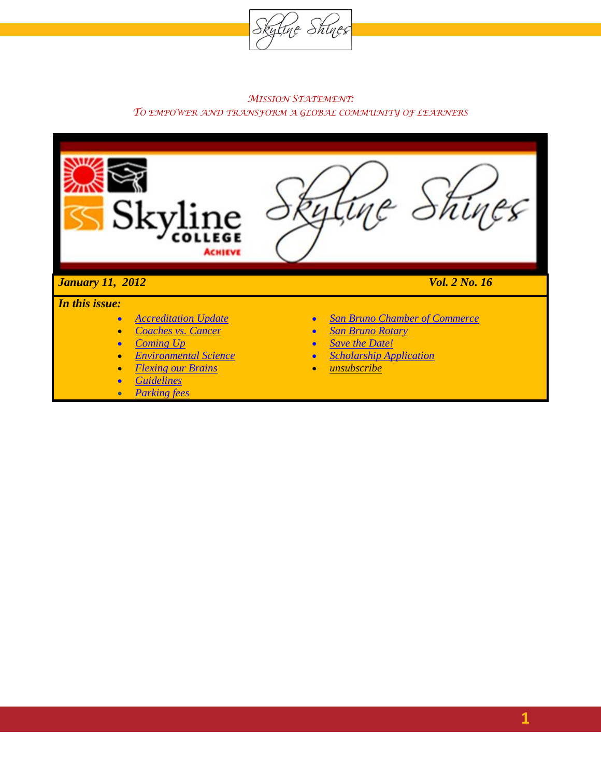

#### *MISSION STATEMENT: TO EMPOWER AND TRANSFORM A GLOBAL COMMUNITY OF LEARNERS*



 *Guidelines Parking fees* *unsubscribe*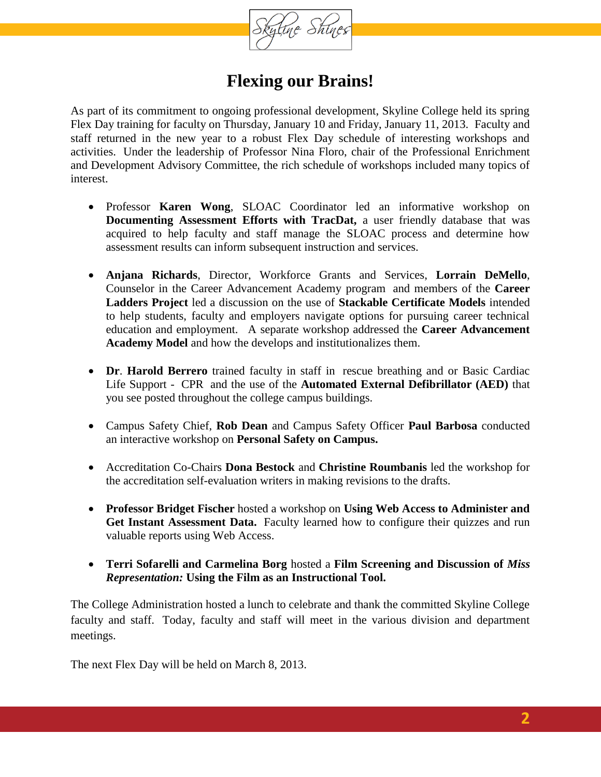

### **Flexing our Brains!**

<span id="page-1-0"></span>As part of its commitment to ongoing professional development, Skyline College held its spring Flex Day training for faculty on Thursday, January 10 and Friday, January 11, 2013. Faculty and staff returned in the new year to a robust Flex Day schedule of interesting workshops and activities. Under the leadership of Professor Nina Floro, chair of the Professional Enrichment and Development Advisory Committee, the rich schedule of workshops included many topics of interest.

- Professor **Karen Wong**, SLOAC Coordinator led an informative workshop on **Documenting Assessment Efforts with TracDat,** a user friendly database that was acquired to help faculty and staff manage the SLOAC process and determine how assessment results can inform subsequent instruction and services.
- **Anjana Richards**, Director, Workforce Grants and Services, **Lorrain DeMello**, Counselor in the Career Advancement Academy program and members of the **Career Ladders Project** led a discussion on the use of **Stackable Certificate Models** intended to help students, faculty and employers navigate options for pursuing career technical education and employment. A separate workshop addressed the **Career Advancement Academy Model** and how the develops and institutionalizes them.
- **Dr**. **Harold Berrero** trained faculty in staff in rescue breathing and or Basic Cardiac Life Support - CPR and the use of the **Automated External Defibrillator (AED)** that you see posted throughout the college campus buildings.
- Campus Safety Chief, **Rob Dean** and Campus Safety Officer **Paul Barbosa** conducted an interactive workshop on **Personal Safety on Campus.**
- Accreditation Co-Chairs **Dona Bestock** and **Christine Roumbanis** led the workshop for the accreditation self-evaluation writers in making revisions to the drafts.
- **Professor Bridget Fischer** hosted a workshop on **Using Web Access to Administer and Get Instant Assessment Data.** Faculty learned how to configure their quizzes and run valuable reports using Web Access.
- **Terri Sofarelli and Carmelina Borg** hosted a **Film Screening and Discussion of** *Miss Representation:* **Using the Film as an Instructional Tool.**

The College Administration hosted a lunch to celebrate and thank the committed Skyline College faculty and staff. Today, faculty and staff will meet in the various division and department meetings.

The next Flex Day will be held on March 8, 2013.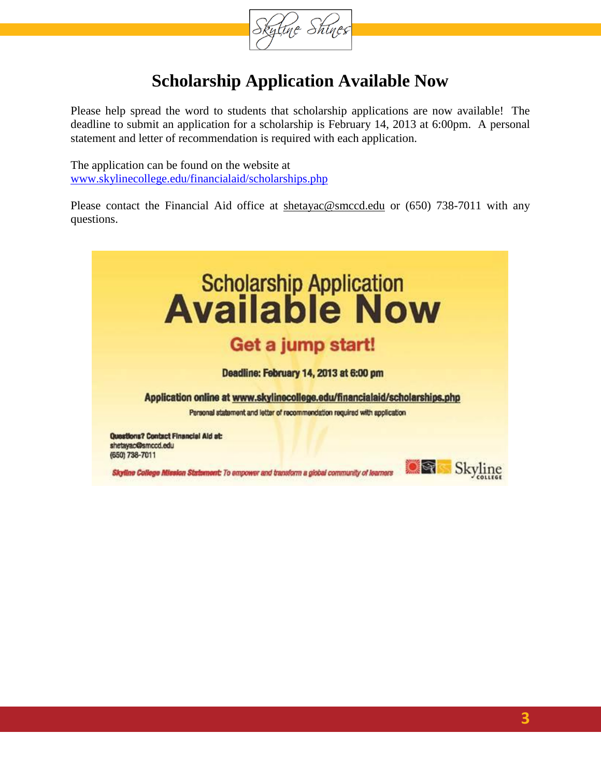

## **Scholarship Application Available Now**

<span id="page-2-0"></span>Please help spread the word to students that scholarship applications are now available! The deadline to submit an application for a scholarship is February 14, 2013 at 6:00pm. A personal statement and letter of recommendation is required with each application.

The application can be found on the website at [www.skylinecollege.edu/financialaid/scholarships.php](http://www.skylinecollege.edu/financialaid/scholarships.php)

Please contact the Financial Aid office at [shetayac@smccd.edu](mailto:shetayac@smccd.edu) or (650) 738-7011 with any questions.

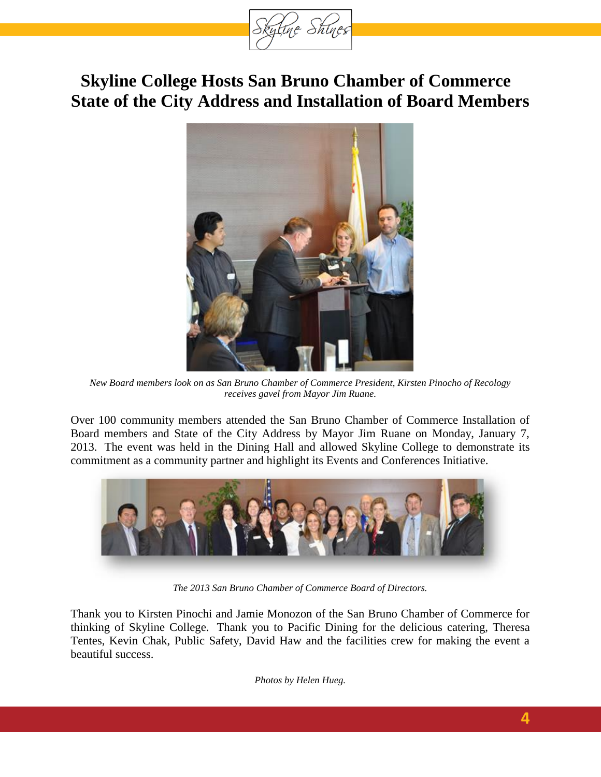

## <span id="page-3-0"></span>**Skyline College Hosts San Bruno Chamber of Commerce State of the City Address and Installation of Board Members**



*New Board members look on as San Bruno Chamber of Commerce President, Kirsten Pinocho of Recology receives gavel from Mayor Jim Ruane.*

Over 100 community members attended the San Bruno Chamber of Commerce Installation of Board members and State of the City Address by Mayor Jim Ruane on Monday, January 7, 2013. The event was held in the Dining Hall and allowed Skyline College to demonstrate its commitment as a community partner and highlight its Events and Conferences Initiative.



*The 2013 San Bruno Chamber of Commerce Board of Directors.*

Thank you to Kirsten Pinochi and Jamie Monozon of the San Bruno Chamber of Commerce for thinking of Skyline College. Thank you to Pacific Dining for the delicious catering, Theresa Tentes, Kevin Chak, Public Safety, David Haw and the facilities crew for making the event a beautiful success.

<span id="page-3-1"></span>*Photos by Helen Hueg.*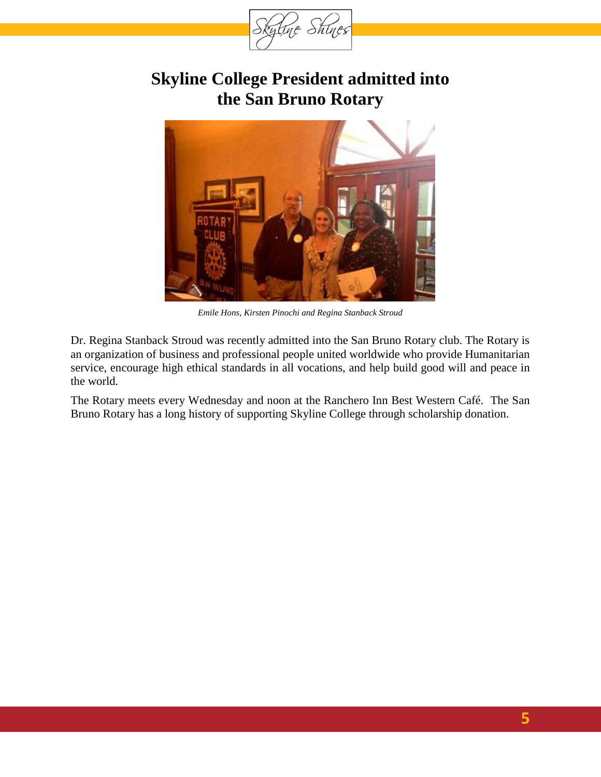

### **Skyline College President admitted into the San Bruno Rotary**



*Emile Hons, Kirsten Pinochi and Regina Stanback Stroud*

Dr. Regina Stanback Stroud was recently admitted into the San Bruno Rotary club. The Rotary is an organization of business and professional people united worldwide who provide Humanitarian service, encourage high ethical standards in all vocations, and help build good will and peace in the world.

The Rotary meets every Wednesday and noon at the Ranchero Inn Best Western Café. The San Bruno Rotary has a long history of supporting Skyline College through scholarship donation.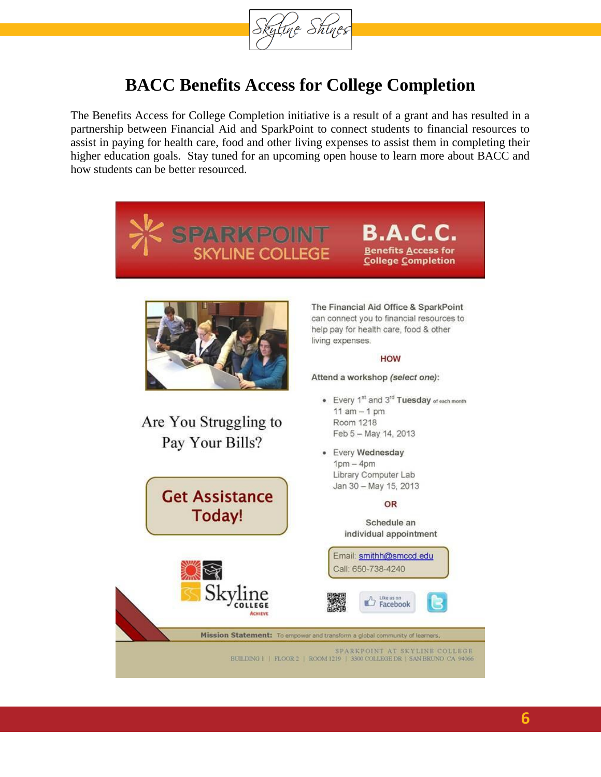

### **BACC Benefits Access for College Completion**

The Benefits Access for College Completion initiative is a result of a grant and has resulted in a partnership between Financial Aid and SparkPoint to connect students to financial resources to assist in paying for health care, food and other living expenses to assist them in completing their higher education goals. Stay tuned for an upcoming open house to learn more about BACC and how students can be better resourced.



**B.A.C. Benefits Access for College Completion** 



Are You Struggling to Pay Your Bills?

**Get Assistance Today!** 

The Financial Aid Office & SparkPoint can connect you to financial resources to help pay for health care, food & other living expenses.

#### **HOW**

Attend a workshop (select one):

- Every 1st and 3rd Tuesday of each month 11  $am - 1 pm$ Room 1218 Feb 5 - May 14, 2013
- · Every Wednesday  $1pm - 4pm$ Library Computer Lab Jan 30 - May 15, 2013

#### OR

Schedule an individual appointment



BUILDING  $\mathbb{H} \parallel$  FLOOR 2  $\parallel$  ROOM  $1219\parallel$  3300 COLLEGE DR  $\parallel$  SAN BRUNO–CA\_94066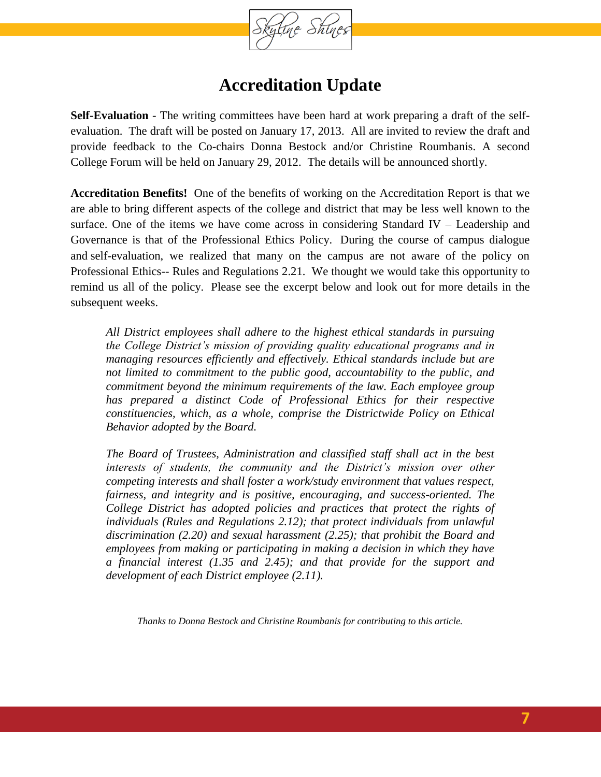

#### **Accreditation Update**

**Self-Evaluation** - The writing committees have been hard at work preparing a draft of the selfevaluation. The draft will be posted on January 17, 2013. All are invited to review the draft and provide feedback to the Co-chairs Donna Bestock and/or Christine Roumbanis. A second College Forum will be held on January 29, 2012. The details will be announced shortly.

**Accreditation Benefits!** One of the benefits of working on the Accreditation Report is that we are able to bring different aspects of the college and district that may be less well known to the surface. One of the items we have come across in considering Standard IV – Leadership and Governance is that of the Professional Ethics Policy. During the course of campus dialogue and self-evaluation, we realized that many on the campus are not aware of the policy on Professional Ethics-- Rules and Regulations 2.21. We thought we would take this opportunity to remind us all of the policy. Please see the excerpt below and look out for more details in the subsequent weeks.

*All District employees shall adhere to the highest ethical standards in pursuing the College District's mission of providing quality educational programs and in managing resources efficiently and effectively. Ethical standards include but are not limited to commitment to the public good, accountability to the public, and commitment beyond the minimum requirements of the law. Each employee group*  has prepared a distinct Code of Professional Ethics for their respective *constituencies, which, as a whole, comprise the Districtwide Policy on Ethical Behavior adopted by the Board.* 

*The Board of Trustees, Administration and classified staff shall act in the best interests of students, the community and the District's mission over other competing interests and shall foster a work/study environment that values respect, fairness, and integrity and is positive, encouraging, and success-oriented. The College District has adopted policies and practices that protect the rights of individuals (Rules and Regulations 2.12); that protect individuals from unlawful discrimination (2.20) and sexual harassment (2.25); that prohibit the Board and employees from making or participating in making a decision in which they have a financial interest (1.35 and 2.45); and that provide for the support and development of each District employee (2.11).*

*Thanks to Donna Bestock and Christine Roumbanis for contributing to this article.*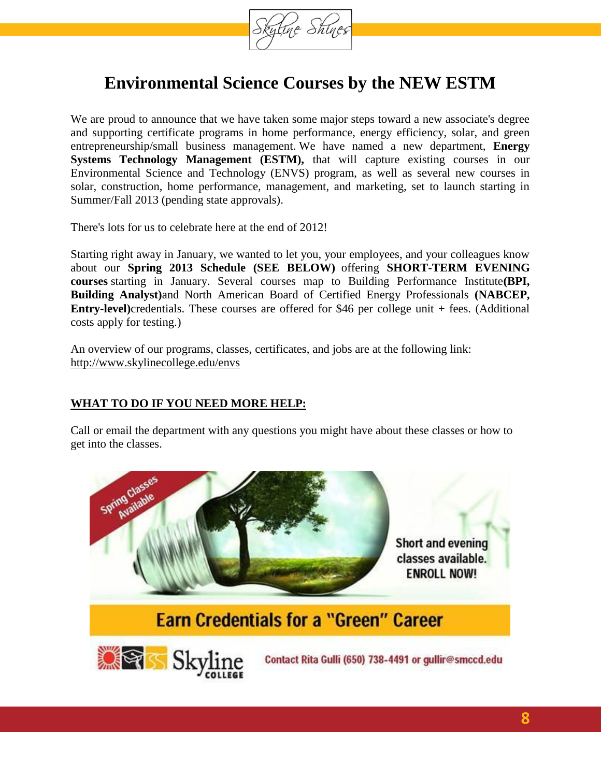

### **Environmental Science Courses by the NEW ESTM**

We are proud to announce that we have taken some major steps toward a new associate's degree and supporting certificate programs in home performance, energy efficiency, solar, and green entrepreneurship/small business management. We have named a new department, **Energy Systems Technology Management (ESTM), that will capture existing courses in our** Environmental Science and Technology (ENVS) program, as well as several new courses in solar, construction, home performance, management, and marketing, set to launch starting in Summer/Fall 2013 (pending state approvals).

There's lots for us to celebrate here at the end of 2012!

Starting right away in January, we wanted to let you, your employees, and your colleagues know about our **Spring 2013 Schedule (SEE BELOW)** offering **SHORT-TERM EVENING courses** starting in January. Several courses map to Building Performance Institute**(BPI, Building Analyst)**and North American Board of Certified Energy Professionals **(NABCEP, Entry-level)**credentials. These courses are offered for \$46 per college unit + fees. (Additional costs apply for testing.)

An overview of our programs, classes, certificates, and jobs are at the following link: [http://www.skylinecollege.edu/envs](http://www.skylinecollege.edu/envs/certificatesindustry.php)

#### **WHAT TO DO IF YOU NEED MORE HELP:**

Call or email the department with any questions you might have about these classes or how to get into the classes.

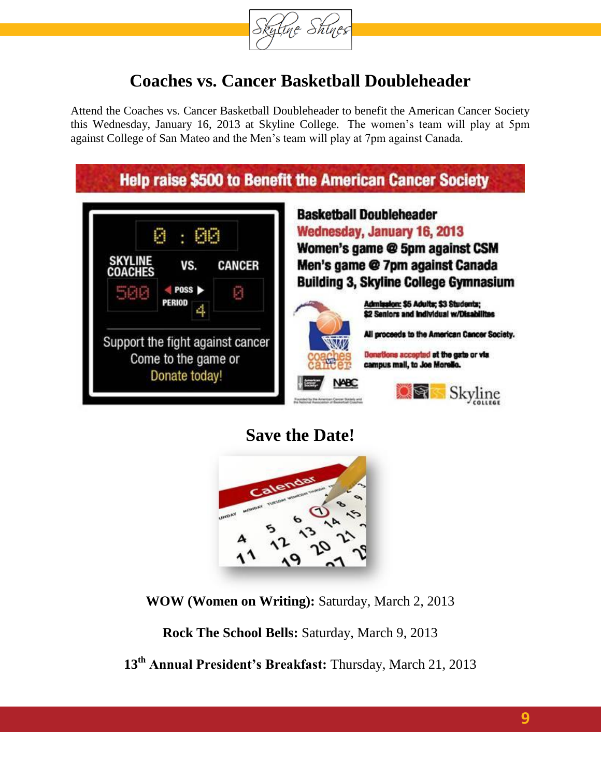

### **Coaches vs. Cancer Basketball Doubleheader**

Attend the Coaches vs. Cancer Basketball Doubleheader to benefit the American Cancer Society this Wednesday, January 16, 2013 at Skyline College. The women's team will play at 5pm against College of San Mateo and the Men's team will play at 7pm against Canada.



### **Save the Date!**

<span id="page-8-0"></span>

**WOW (Women on Writing):** Saturday, March 2, 2013

**Rock The School Bells:** Saturday, March 9, 2013

**13th Annual President's Breakfast:** Thursday, March 21, 2013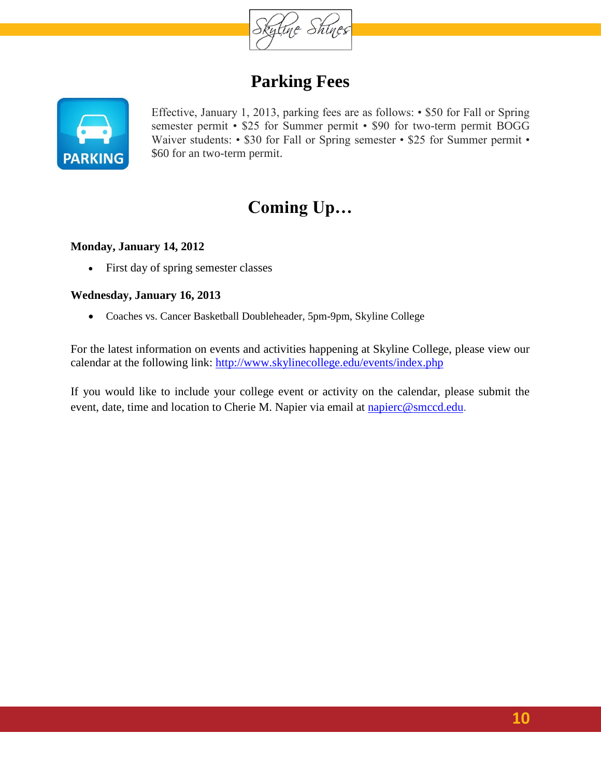

### **Parking Fees**



Effective, January 1, 2013, parking fees are as follows: • \$50 for Fall or Spring semester permit • \$25 for Summer permit • \$90 for two-term permit BOGG Waiver students: • \$30 for Fall or Spring semester • \$25 for Summer permit • \$60 for an two-term permit.

# **Coming Up…**

#### **Monday, January 14, 2012**

First day of spring semester classes

#### **Wednesday, January 16, 2013**

Coaches vs. Cancer Basketball Doubleheader, 5pm-9pm, Skyline College

For the latest information on events and activities happening at Skyline College, please view our calendar at the following link:<http://www.skylinecollege.edu/events/index.php>

If you would like to include your college event or activity on the calendar, please submit the event, date, time and location to Cherie M. Napier via email at [napierc@smccd.edu](mailto:napierc@smccd.edu).